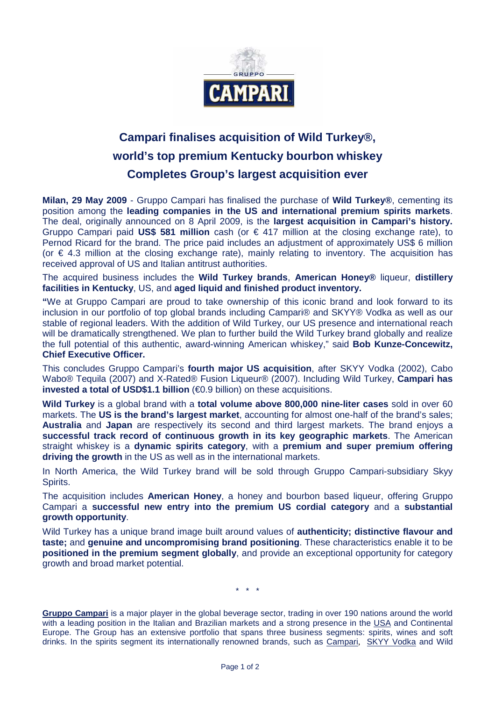

## **Campari finalises acquisition of Wild Turkey®, world's top premium Kentucky bourbon whiskey Completes Group's largest acquisition ever**

**Milan, 29 May 2009** - Gruppo Campari has finalised the purchase of **Wild Turkey®**, cementing its position among the **leading companies in the US and international premium spirits markets**. The deal, originally announced on 8 April 2009, is the **largest acquisition in Campari's history.** Gruppo Campari paid **US\$ 581 million** cash (or € 417 million at the closing exchange rate), to Pernod Ricard for the brand. The price paid includes an adjustment of approximately US\$ 6 million (or € 4.3 million at the closing exchange rate), mainly relating to inventory. The acquisition has received approval of US and Italian antitrust authorities.

The acquired business includes the **Wild Turkey brands**, **American Honey®** liqueur, **distillery facilities in Kentucky**, US, and **aged liquid and finished product inventory.** 

**"**We at Gruppo Campari are proud to take ownership of this iconic brand and look forward to its inclusion in our portfolio of top global brands including Campari® and SKYY® Vodka as well as our stable of regional leaders. With the addition of Wild Turkey, our US presence and international reach will be dramatically strengthened. We plan to further build the Wild Turkey brand globally and realize the full potential of this authentic, award-winning American whiskey," said **Bob Kunze-Concewitz, Chief Executive Officer.**

This concludes Gruppo Campari's **fourth major US acquisition**, after SKYY Vodka (2002), Cabo Wabo® Tequila (2007) and X-Rated® Fusion Liqueur® (2007). Including Wild Turkey, **Campari has invested a total of USD\$1.1 billion** (€0.9 billion) on these acquisitions.

**Wild Turkey** is a global brand with a **total volume above 800,000 nine-liter cases** sold in over 60 markets. The **US is the brand's largest market**, accounting for almost one-half of the brand's sales; **Australia** and **Japan** are respectively its second and third largest markets. The brand enjoys a **successful track record of continuous growth in its key geographic markets**. The American straight whiskey is a **dynamic spirits category**, with a **premium and super premium offering driving the growth** in the US as well as in the international markets.

In North America, the Wild Turkey brand will be sold through Gruppo Campari-subsidiary Skyy Spirits.

The acquisition includes **American Honey**, a honey and bourbon based liqueur, offering Gruppo Campari a **successful new entry into the premium US cordial category** and a **substantial growth opportunity**.

Wild Turkey has a unique brand image built around values of **authenticity; distinctive flavour and taste;** and **genuine and uncompromising brand positioning**. These characteristics enable it to be **positioned in the premium segment globally**, and provide an exceptional opportunity for category growth and broad market potential.

 $\frac{1}{2}$   $\frac{1}{2}$ 

**Gruppo Campari** is a major player in the global beverage sector, trading in over 190 nations around the world with a leading position in the Italian and Brazilian markets and a strong presence in the USA and Continental Europe. The Group has an extensive portfolio that spans three business segments: spirits, wines and soft drinks. In the spirits segment its internationally renowned brands, such as Campari, SKYY Vodka and Wild